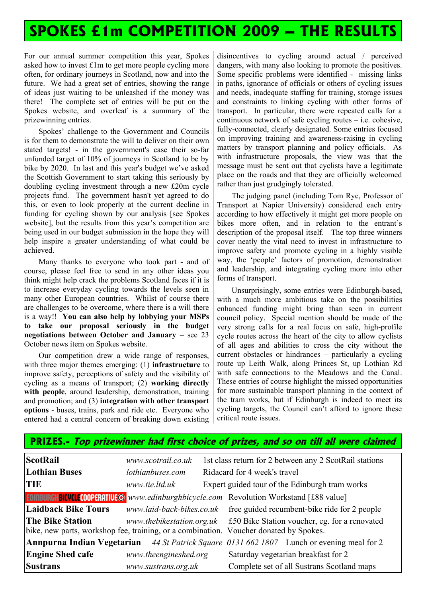## **SPOKES £1m COMPETITION 2009 – THE RESULTS**

For our annual summer competition this year, Spokes asked how to invest £1m to get more people cycling more often, for ordinary journeys in Scotland, now and into the future. We had a great set of entries, showing the range of ideas just waiting to be unleashed if the money was there! The complete set of entries will be put on the Spokes website, and overleaf is a summary of the prizewinning entries.

Spokes' challenge to the Government and Councils is for them to demonstrate the will to deliver on their own stated targets! - in the government's case their so-far unfunded target of 10% of journeys in Scotland to be by bike by 2020. In last and this year's budget we've asked the Scottish Government to start taking this seriously by doubling cycling investment through a new £20m cycle projects fund. The government hasn't yet agreed to do this, or even to look properly at the current decline in funding for cycling shown by our analysis [see Spokes website], but the results from this year's competition are being used in our budget submission in the hope they will help inspire a greater understanding of what could be achieved.

Many thanks to everyone who took part - and of course, please feel free to send in any other ideas you think might help crack the problems Scotland faces if it is to increase everyday cycling towards the levels seen in many other European countries. Whilst of course there are challenges to be overcome, where there is a will there is a way!! **You can also help by lobbying your MSPs to take our proposal seriously in the budget negotiations between October and January** – see 23 October news item on Spokes website.

Our competition drew a wide range of responses, with three major themes emerging: (1) **infrastructure** to improve safety, perceptions of safety and the visibility of cycling as a means of transport; (2) **working directly with people**, around leadership, demonstration, training and promotion; and (3) **integration with other transport options** - buses, trains, park and ride etc. Everyone who entered had a central concern of breaking down existing

disincentives to cycling around actual / perceived dangers, with many also looking to promote the positives. Some specific problems were identified - missing links in paths, ignorance of officials or others of cycling issues and needs, inadequate staffing for training, storage issues and constraints to linking cycling with other forms of transport. In particular, there were repeated calls for a continuous network of safe cycling routes – i.e. cohesive, fully-connected, clearly designated. Some entries focused on improving training and awareness-raising in cycling matters by transport planning and policy officials. As with infrastructure proposals, the view was that the message must be sent out that cyclists have a legitimate place on the roads and that they are officially welcomed rather than just grudgingly tolerated.

The judging panel (including Tom Rye, Professor of Transport at Napier University) considered each entry according to how effectively it might get more people on bikes more often, and in relation to the entrant's description of the proposal itself. The top three winners cover neatly the vital need to invest in infrastructure to improve safety and promote cycling in a highly visible way, the 'people' factors of promotion, demonstration and leadership, and integrating cycling more into other forms of transport.

Unsurprisingly, some entries were Edinburgh-based, with a much more ambitious take on the possibilities enhanced funding might bring than seen in current council policy. Special mention should be made of the very strong calls for a real focus on safe, high-profile cycle routes across the heart of the city to allow cyclists of all ages and abilities to cross the city without the current obstacles or hindrances – particularly a cycling route up Leith Walk, along Princes St, up Lothian Rd with safe connections to the Meadows and the Canal. These entries of course highlight the missed opportunities for more sustainable transport planning in the context of the tram works, but if Edinburgh is indeed to meet its cycling targets, the Council can't afford to ignore these critical route issues.

| <b>ScotRail</b>                                                                                 | www.scotrail.co.uk                                                                    |                                                | 1st class return for 2 between any 2 ScotRail stations                  |                                                                                                  |
|-------------------------------------------------------------------------------------------------|---------------------------------------------------------------------------------------|------------------------------------------------|-------------------------------------------------------------------------|--------------------------------------------------------------------------------------------------|
| <b>Lothian Buses</b>                                                                            | Ridacard for 4 week's travel<br>lothianbuses.com                                      |                                                |                                                                         |                                                                                                  |
| <b>TIE</b>                                                                                      | www.tie.ltd.uk                                                                        | Expert guided tour of the Edinburgh tram works |                                                                         |                                                                                                  |
| <b>EDINBURGHBICVCLE COOPERATIVE @</b> www.edinburghbicycle.com Revolution Workstand [£88 value] |                                                                                       |                                                |                                                                         |                                                                                                  |
| <b>Laidback Bike Tours</b>                                                                      |                                                                                       |                                                |                                                                         | www.laid-back-bikes.co.uk free guided recumbent-bike ride for 2 people                           |
| <b>The Bike Station</b>                                                                         | bike, new parts, workshop fee, training, or a combination. Voucher donated by Spokes. |                                                | www.thebikestation.org.uk £50 Bike Station voucher, eg. for a renovated |                                                                                                  |
|                                                                                                 |                                                                                       |                                                |                                                                         | <b>Annpurna Indian Vegetarian</b> 44 St Patrick Square 0131 662 1807 Lunch or evening meal for 2 |
| <b>Engine Shed cafe</b>                                                                         | www.theengineshed.org                                                                 |                                                |                                                                         | Saturday vegetarian breakfast for 2                                                              |
| <b>Sustrans</b>                                                                                 | www.sustrans.org.uk                                                                   |                                                | Complete set of all Sustrans Scotland maps                              |                                                                                                  |

**PRIZES.- Top prizewinner had first choice of prizes, and so on till all were claimed**